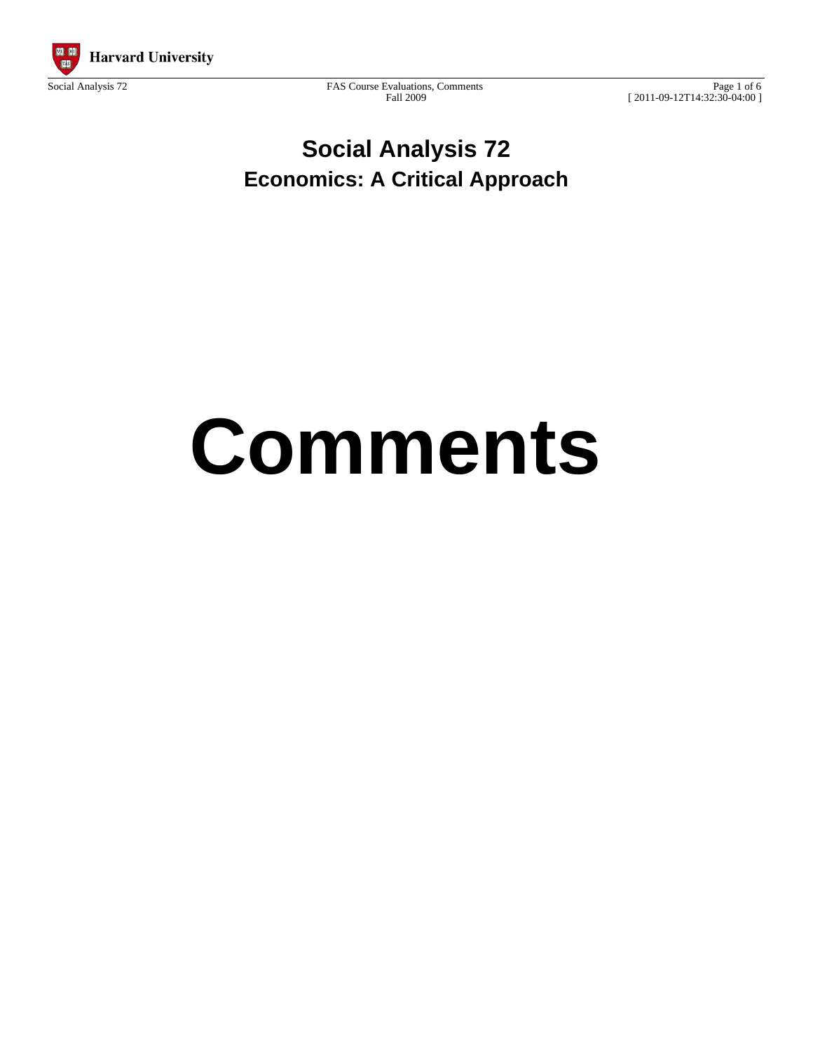

Social Analysis 72 FAS Course Evaluations, Comments Fall 2009

Page 1 of 6 [ 2011-09-12T14:32:30-04:00 ]

# **Social Analysis 72 Economics: A Critical Approach**

# **Comments**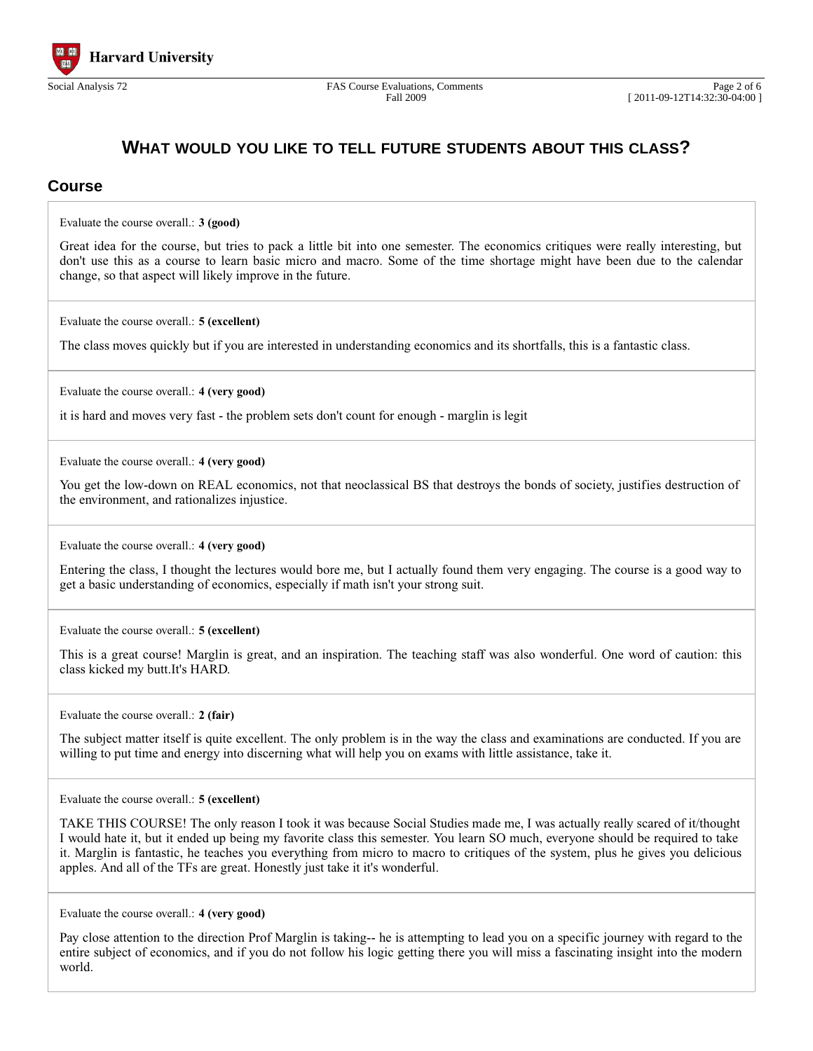

### **WHAT WOULD YOU LIKE TO TELL FUTURE STUDENTS ABOUT THIS CLASS?**

#### **Course**

Evaluate the course overall.: **3 (good)**

Great idea for the course, but tries to pack a little bit into one semester. The economics critiques were really interesting, but don't use this as a course to learn basic micro and macro. Some of the time shortage might have been due to the calendar change, so that aspect will likely improve in the future.

Evaluate the course overall.: **5 (excellent)**

The class moves quickly but if you are interested in understanding economics and its shortfalls, this is a fantastic class.

Evaluate the course overall.: **4 (very good)**

it is hard and moves very fast - the problem sets don't count for enough - marglin is legit

Evaluate the course overall.: **4 (very good)**

You get the low-down on REAL economics, not that neoclassical BS that destroys the bonds of society, justifies destruction of the environment, and rationalizes injustice.

Evaluate the course overall.: **4 (very good)**

Entering the class, I thought the lectures would bore me, but I actually found them very engaging. The course is a good way to get a basic understanding of economics, especially if math isn't your strong suit.

Evaluate the course overall.: **5 (excellent)**

This is a great course! Marglin is great, and an inspiration. The teaching staff was also wonderful. One word of caution: this class kicked my butt.It's HARD.

Evaluate the course overall.: **2 (fair)**

The subject matter itself is quite excellent. The only problem is in the way the class and examinations are conducted. If you are willing to put time and energy into discerning what will help you on exams with little assistance, take it.

Evaluate the course overall.: **5 (excellent)**

TAKE THIS COURSE! The only reason I took it was because Social Studies made me, I was actually really scared of it/thought I would hate it, but it ended up being my favorite class this semester. You learn SO much, everyone should be required to take it. Marglin is fantastic, he teaches you everything from micro to macro to critiques of the system, plus he gives you delicious apples. And all of the TFs are great. Honestly just take it it's wonderful.

Evaluate the course overall.: **4 (very good)**

Pay close attention to the direction Prof Marglin is taking-- he is attempting to lead you on a specific journey with regard to the entire subject of economics, and if you do not follow his logic getting there you will miss a fascinating insight into the modern world.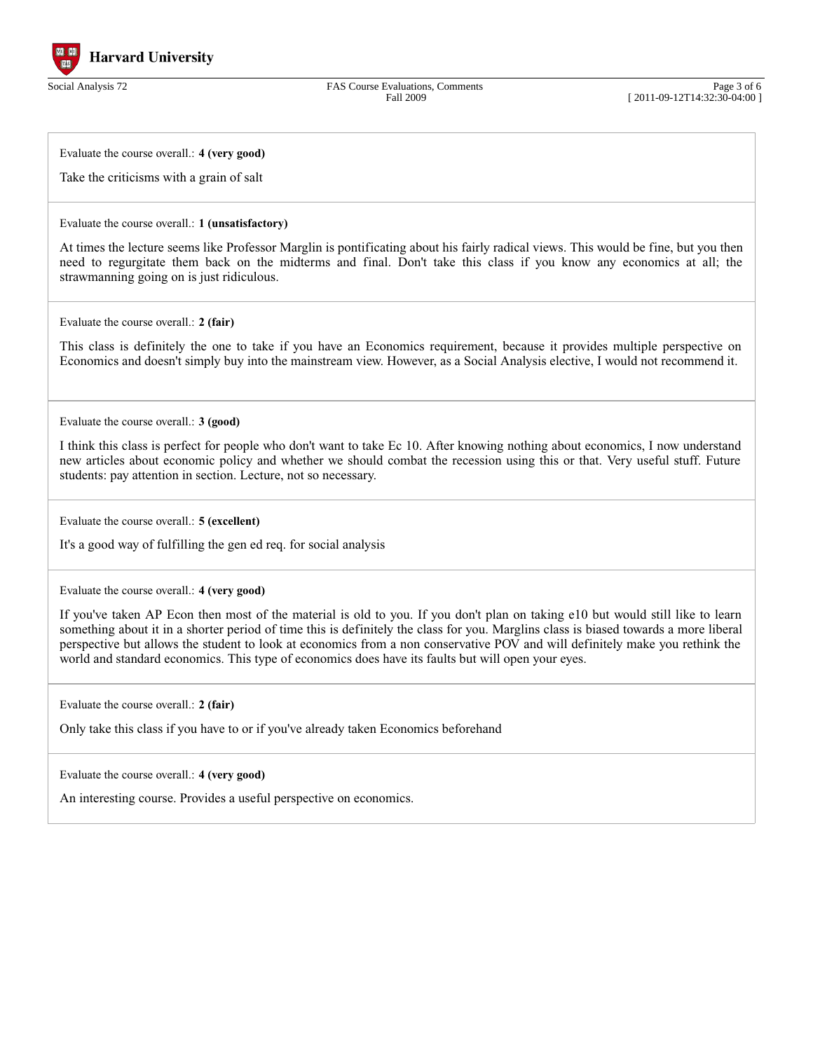

Social Analysis 72 FAS Course Evaluations, Comments Fall 2009

Page 3 of 6 [ 2011-09-12T14:32:30-04:00 ]

Evaluate the course overall.: **4 (very good)**

Take the criticisms with a grain of salt

#### Evaluate the course overall.: **1 (unsatisfactory)**

At times the lecture seems like Professor Marglin is pontificating about his fairly radical views. This would be fine, but you then need to regurgitate them back on the midterms and final. Don't take this class if you know any economics at all; the strawmanning going on is just ridiculous.

Evaluate the course overall.: **2 (fair)**

This class is definitely the one to take if you have an Economics requirement, because it provides multiple perspective on Economics and doesn't simply buy into the mainstream view. However, as a Social Analysis elective, I would not recommend it.

Evaluate the course overall.: **3 (good)**

I think this class is perfect for people who don't want to take Ec 10. After knowing nothing about economics, I now understand new articles about economic policy and whether we should combat the recession using this or that. Very useful stuff. Future students: pay attention in section. Lecture, not so necessary.

Evaluate the course overall.: **5 (excellent)**

It's a good way of fulfilling the gen ed req. for social analysis

Evaluate the course overall.: **4 (very good)**

If you've taken AP Econ then most of the material is old to you. If you don't plan on taking e10 but would still like to learn something about it in a shorter period of time this is definitely the class for you. Marglins class is biased towards a more liberal perspective but allows the student to look at economics from a non conservative POV and will definitely make you rethink the world and standard economics. This type of economics does have its faults but will open your eyes.

Evaluate the course overall.: **2 (fair)**

Only take this class if you have to or if you've already taken Economics beforehand

Evaluate the course overall.: **4 (very good)**

An interesting course. Provides a useful perspective on economics.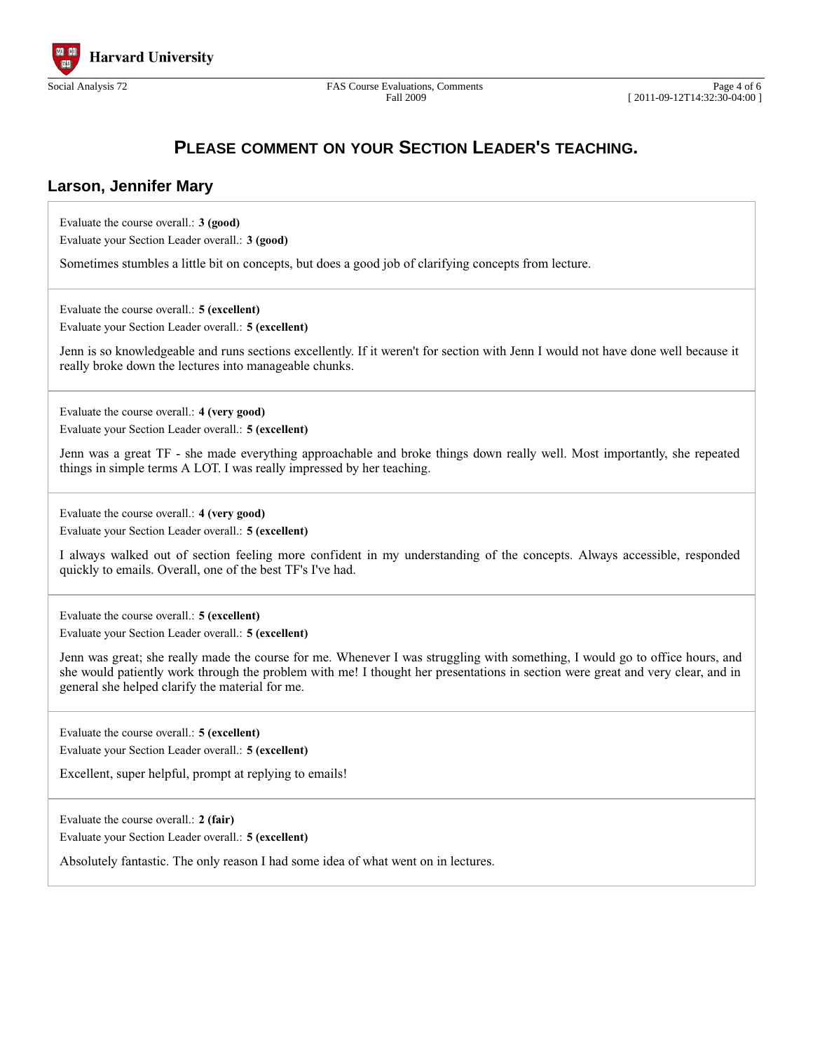

Fall 2009

## **PLEASE COMMENT ON YOUR SECTION LEADER'S TEACHING.**

#### **Larson, Jennifer Mary**

Evaluate the course overall.: **3 (good)** Evaluate your Section Leader overall.: **3 (good)**

Sometimes stumbles a little bit on concepts, but does a good job of clarifying concepts from lecture.

Evaluate the course overall.: **5 (excellent)**

Evaluate your Section Leader overall.: **5 (excellent)**

Jenn is so knowledgeable and runs sections excellently. If it weren't for section with Jenn I would not have done well because it really broke down the lectures into manageable chunks.

Evaluate the course overall.: **4 (very good)** Evaluate your Section Leader overall.: **5 (excellent)**

Jenn was a great TF - she made everything approachable and broke things down really well. Most importantly, she repeated things in simple terms A LOT. I was really impressed by her teaching.

Evaluate the course overall.: **4 (very good)**

Evaluate your Section Leader overall.: **5 (excellent)**

I always walked out of section feeling more confident in my understanding of the concepts. Always accessible, responded quickly to emails. Overall, one of the best TF's I've had.

Evaluate the course overall.: **5 (excellent)** Evaluate your Section Leader overall.: **5 (excellent)**

Jenn was great; she really made the course for me. Whenever I was struggling with something, I would go to office hours, and she would patiently work through the problem with me! I thought her presentations in section were great and very clear, and in general she helped clarify the material for me.

Evaluate the course overall.: **5 (excellent)**

Evaluate your Section Leader overall.: **5 (excellent)**

Excellent, super helpful, prompt at replying to emails!

Evaluate the course overall.: **2 (fair)** Evaluate your Section Leader overall.: **5 (excellent)**

Absolutely fantastic. The only reason I had some idea of what went on in lectures.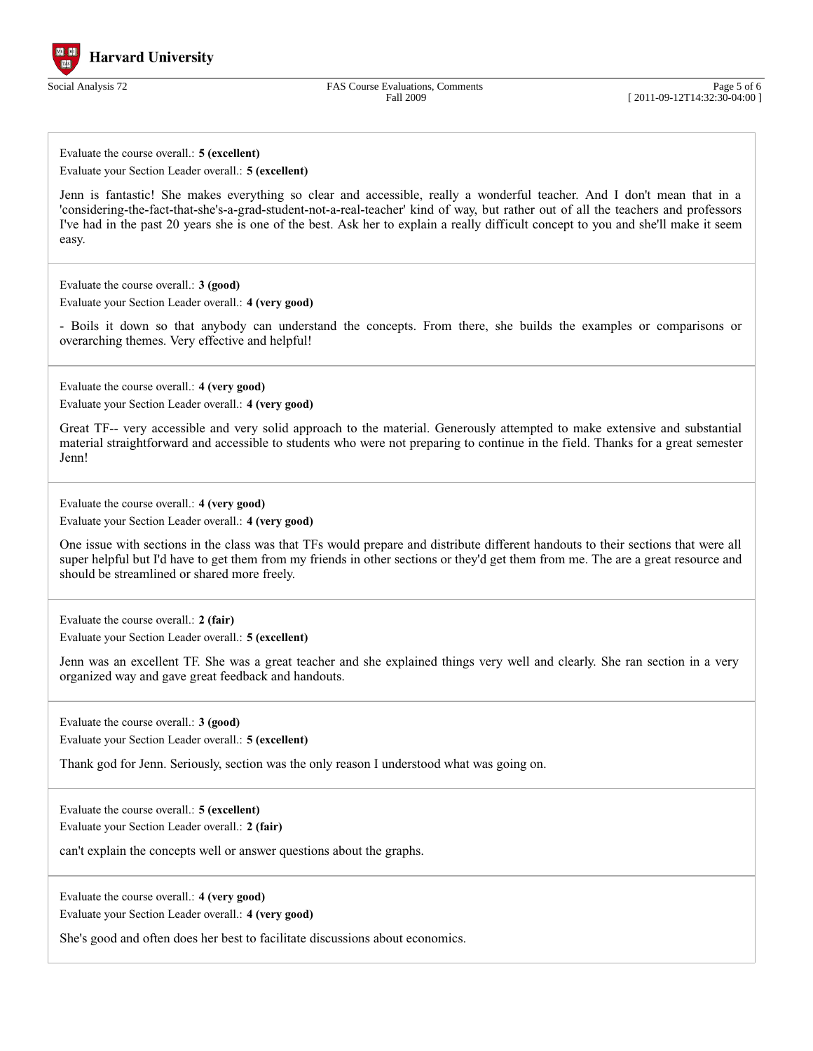

Fall 2009

Page 5 of 6 [ 2011-09-12T14:32:30-04:00 ]

Evaluate the course overall.: **5 (excellent)** Evaluate your Section Leader overall.: **5 (excellent)**

Jenn is fantastic! She makes everything so clear and accessible, really a wonderful teacher. And I don't mean that in a 'considering-the-fact-that-she's-a-grad-student-not-a-real-teacher' kind of way, but rather out of all the teachers and professors I've had in the past 20 years she is one of the best. Ask her to explain a really difficult concept to you and she'll make it seem easy.

Evaluate the course overall.: **3 (good)**

Evaluate your Section Leader overall.: **4 (very good)**

- Boils it down so that anybody can understand the concepts. From there, she builds the examples or comparisons or overarching themes. Very effective and helpful!

Evaluate the course overall.: **4 (very good)** Evaluate your Section Leader overall.: **4 (very good)**

Great TF-- very accessible and very solid approach to the material. Generously attempted to make extensive and substantial material straightforward and accessible to students who were not preparing to continue in the field. Thanks for a great semester Jenn!

Evaluate the course overall.: **4 (very good)** Evaluate your Section Leader overall.: **4 (very good)**

One issue with sections in the class was that TFs would prepare and distribute different handouts to their sections that were all super helpful but I'd have to get them from my friends in other sections or they'd get them from me. The are a great resource and should be streamlined or shared more freely.

Evaluate the course overall.: **2 (fair)**

Evaluate your Section Leader overall.: **5 (excellent)**

Jenn was an excellent TF. She was a great teacher and she explained things very well and clearly. She ran section in a very organized way and gave great feedback and handouts.

Evaluate the course overall.: **3 (good)** Evaluate your Section Leader overall.: **5 (excellent)**

Thank god for Jenn. Seriously, section was the only reason I understood what was going on.

Evaluate the course overall.: **5 (excellent)**

Evaluate your Section Leader overall.: **2 (fair)**

can't explain the concepts well or answer questions about the graphs.

Evaluate the course overall.: **4 (very good)**

Evaluate your Section Leader overall.: **4 (very good)**

She's good and often does her best to facilitate discussions about economics.